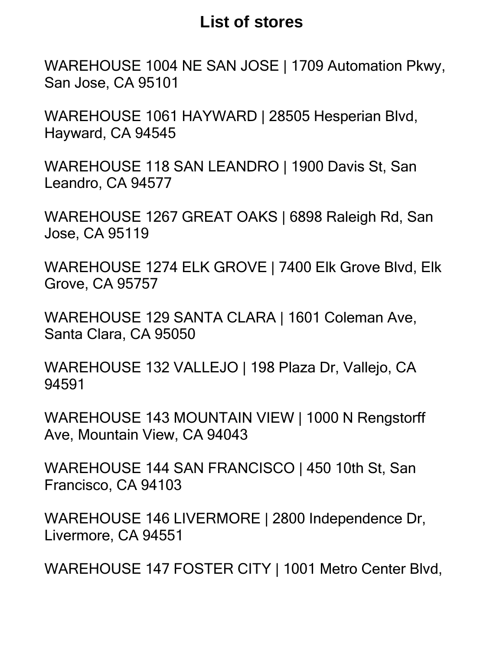## **List of stores**

San Jose, CA 95101 WAREHOUSE 1004 NE SAN JOSE | 1709 Automation Pkwy,

Hayward, CA 94545 WAREHOUSE 1061 HAYWARD | 28505 Hesperian Blvd,

Leandro, CA 94577 WAREHOUSE 118 SAN LEANDRO | 1900 Davis St, San

Jose, CA 95119 WAREHOUSE 1267 GREAT OAKS | 6898 Raleigh Rd, San

Grove, CA 95757 WAREHOUSE 1274 ELK GROVE | 7400 Elk Grove Blvd, Elk

Santa Clara, CA 95050 WAREHOUSE 129 SANTA CLARA | 1601 Coleman Ave,

94591 WAREHOUSE 132 VALLEJO | 198 Plaza Dr, Vallejo, CA

Ave, Mountain View, CA 94043 WAREHOUSE 143 MOUNTAIN VIEW | 1000 N Rengstorff

Francisco, CA 94103 WAREHOUSE 144 SAN FRANCISCO | 450 10th St, San

Livermore, CA 94551 WAREHOUSE 146 LIVERMORE | 2800 Independence Dr,

WAREHOUSE 147 FOSTER CITY | 1001 Metro Center Blvd,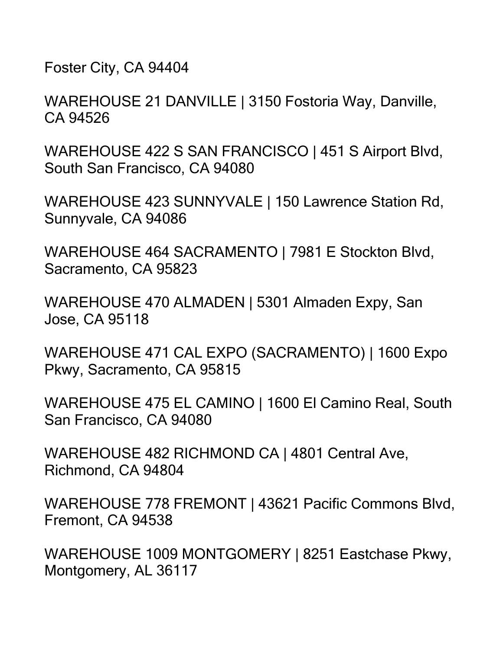Foster City, CA 94404

WAREHOUSE 21 DANVILLE | 3150 Fostoria Way, Danville, CA 94526

WAREHOUSE 422 S SAN FRANCISCO | 451 S Airport Blvd, South San Francisco, CA 94080

WAREHOUSE 423 SUNNYVALE | 150 Lawrence Station Rd, Sunnyvale, CA 94086

WAREHOUSE 464 SACRAMENTO | 7981 E Stockton Blvd, Sacramento, CA 95823

WAREHOUSE 470 ALMADEN | 5301 Almaden Expy, San Jose, CA 95118

WAREHOUSE 471 CAL EXPO (SACRAMENTO) | 1600 Expo Pkwy, Sacramento, CA 95815

WAREHOUSE 475 EL CAMINO | 1600 El Camino Real, South San Francisco, CA 94080

WAREHOUSE 482 RICHMOND CA | 4801 Central Ave, Richmond, CA 94804

WAREHOUSE 778 FREMONT | 43621 Pacific Commons Blvd, Fremont, CA 94538

WAREHOUSE 1009 MONTGOMERY | 8251 Eastchase Pkwy, Montgomery, AL 36117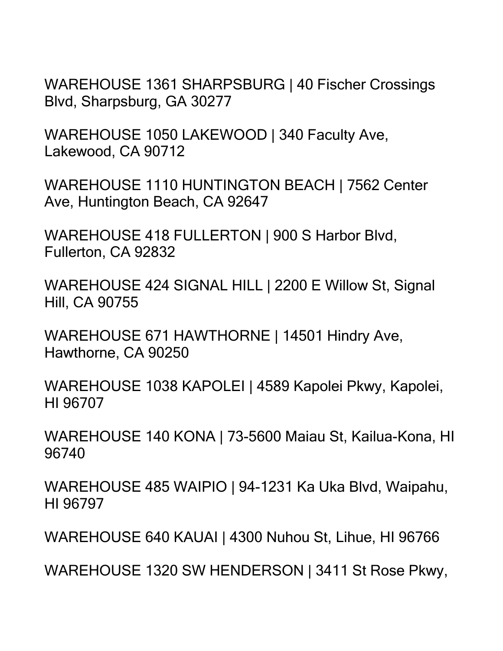WAREHOUSE 1361 SHARPSBURG | 40 Fischer Crossings Blvd, Sharpsburg, GA 30277

WAREHOUSE 1050 LAKEWOOD | 340 Faculty Ave, Lakewood, CA 90712

WAREHOUSE 1110 HUNTINGTON BEACH | 7562 Center Ave, Huntington Beach, CA 92647

WAREHOUSE 418 FULLERTON | 900 S Harbor Blvd, Fullerton, CA 92832

WAREHOUSE 424 SIGNAL HILL | 2200 E Willow St, Signal Hill, CA 90755

WAREHOUSE 671 HAWTHORNE | 14501 Hindry Ave, Hawthorne, CA 90250

WAREHOUSE 1038 KAPOLEI | 4589 Kapolei Pkwy, Kapolei, HI 96707

WAREHOUSE 140 KONA | 73-5600 Maiau St, Kailua-Kona, HI 96740

WAREHOUSE 485 WAIPIO | 94-1231 Ka Uka Blvd, Waipahu, HI 96797

WAREHOUSE 640 KAUAI | 4300 Nuhou St, Lihue, HI 96766

WAREHOUSE 1320 SW HENDERSON | 3411 St Rose Pkwy,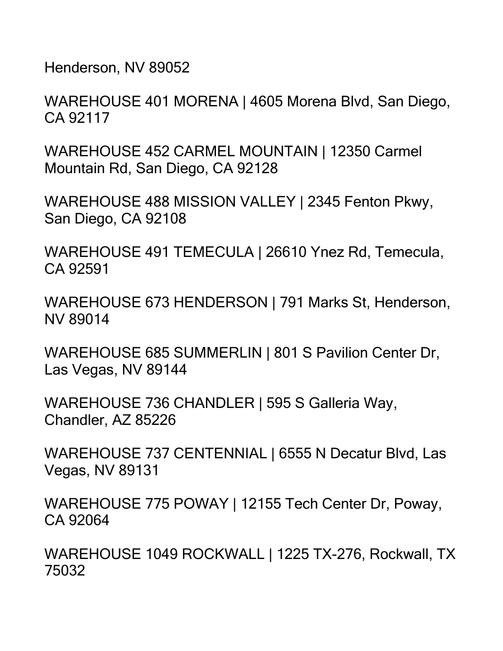Henderson, NV 89052

WAREHOUSE 401 MORENA | 4605 Morena Blvd, San Diego, CA 92117

WAREHOUSE 452 CARMEL MOUNTAIN | 12350 Carmel Mountain Rd, San Diego, CA 92128

WAREHOUSE 488 MISSION VALLEY | 2345 Fenton Pkwy, San Diego, CA 92108

WAREHOUSE 491 TEMECULA | 26610 Ynez Rd, Temecula, CA 92591

WAREHOUSE 673 HENDERSON | 791 Marks St, Henderson, NV 89014

WAREHOUSE 685 SUMMERLIN | 801 S Pavilion Center Dr, Las Vegas, NV 89144

WAREHOUSE 736 CHANDLER | 595 S Galleria Way, Chandler, AZ 85226

WAREHOUSE 737 CENTENNIAL | 6555 N Decatur Blvd, Las Vegas, NV 89131

WAREHOUSE 775 POWAY | 12155 Tech Center Dr, Poway, CA 92064

WAREHOUSE 1049 ROCKWALL | 1225 TX-276, Rockwall, TX 75032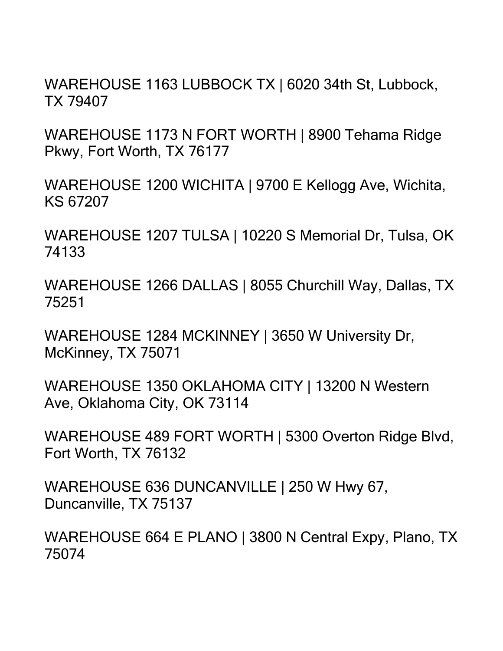WAREHOUSE 1163 LUBBOCK TX | 6020 34th St, Lubbock, TX 79407

WAREHOUSE 1173 N FORT WORTH | 8900 Tehama Ridge Pkwy, Fort Worth, TX 76177

WAREHOUSE 1200 WICHITA | 9700 E Kellogg Ave, Wichita, KS 67207

WAREHOUSE 1207 TULSA | 10220 S Memorial Dr, Tulsa, OK 74133

WAREHOUSE 1266 DALLAS | 8055 Churchill Way, Dallas, TX 75251

WAREHOUSE 1284 MCKINNEY | 3650 W University Dr, McKinney, TX 75071

WAREHOUSE 1350 OKLAHOMA CITY | 13200 N Western Ave, Oklahoma City, OK 73114

WAREHOUSE 489 FORT WORTH | 5300 Overton Ridge Blvd, Fort Worth, TX 76132

WAREHOUSE 636 DUNCANVILLE | 250 W Hwy 67, Duncanville, TX 75137

WAREHOUSE 664 E PLANO | 3800 N Central Expy, Plano, TX 75074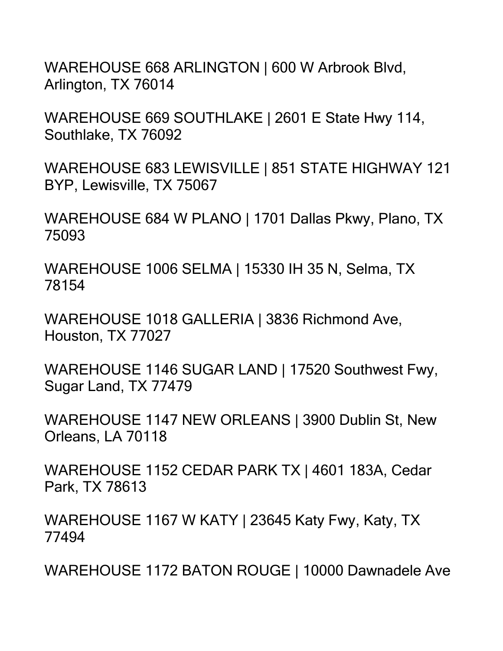WAREHOUSE 668 ARLINGTON | 600 W Arbrook Blvd, Arlington, TX 76014

WAREHOUSE 669 SOUTHLAKE | 2601 E State Hwy 114, Southlake, TX 76092

WAREHOUSE 683 LEWISVILLE | 851 STATE HIGHWAY 121 BYP, Lewisville, TX 75067

WAREHOUSE 684 W PLANO | 1701 Dallas Pkwy, Plano, TX 75093

WAREHOUSE 1006 SELMA | 15330 IH 35 N, Selma, TX 78154

WAREHOUSE 1018 GALLERIA | 3836 Richmond Ave, Houston, TX 77027

WAREHOUSE 1146 SUGAR LAND | 17520 Southwest Fwy, Sugar Land, TX 77479

WAREHOUSE 1147 NEW ORLEANS | 3900 Dublin St, New Orleans, LA 70118

WAREHOUSE 1152 CEDAR PARK TX | 4601 183A, Cedar Park, TX 78613

WAREHOUSE 1167 W KATY | 23645 Katy Fwy, Katy, TX 77494

WAREHOUSE 1172 BATON ROUGE | 10000 Dawnadele Ave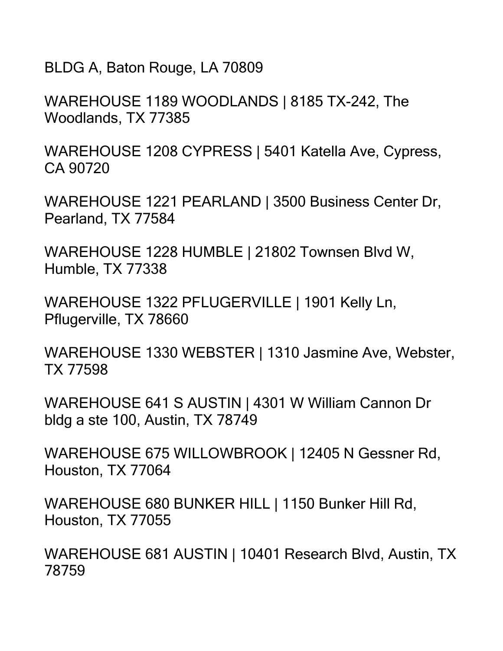BLDG A, Baton Rouge, LA 70809

WAREHOUSE 1189 WOODLANDS | 8185 TX-242, The Woodlands, TX 77385

WAREHOUSE 1208 CYPRESS | 5401 Katella Ave, Cypress, CA 90720

WAREHOUSE 1221 PEARLAND | 3500 Business Center Dr, Pearland, TX 77584

WAREHOUSE 1228 HUMBLE | 21802 Townsen Blvd W, Humble, TX 77338

WAREHOUSE 1322 PFLUGERVILLE | 1901 Kelly Ln, Pflugerville, TX 78660

WAREHOUSE 1330 WEBSTER | 1310 Jasmine Ave, Webster, TX 77598

WAREHOUSE 641 S AUSTIN | 4301 W William Cannon Dr bldg a ste 100, Austin, TX 78749

WAREHOUSE 675 WILLOWBROOK | 12405 N Gessner Rd, Houston, TX 77064

WAREHOUSE 680 BUNKER HILL | 1150 Bunker Hill Rd, Houston, TX 77055

WAREHOUSE 681 AUSTIN | 10401 Research Blvd, Austin, TX 78759